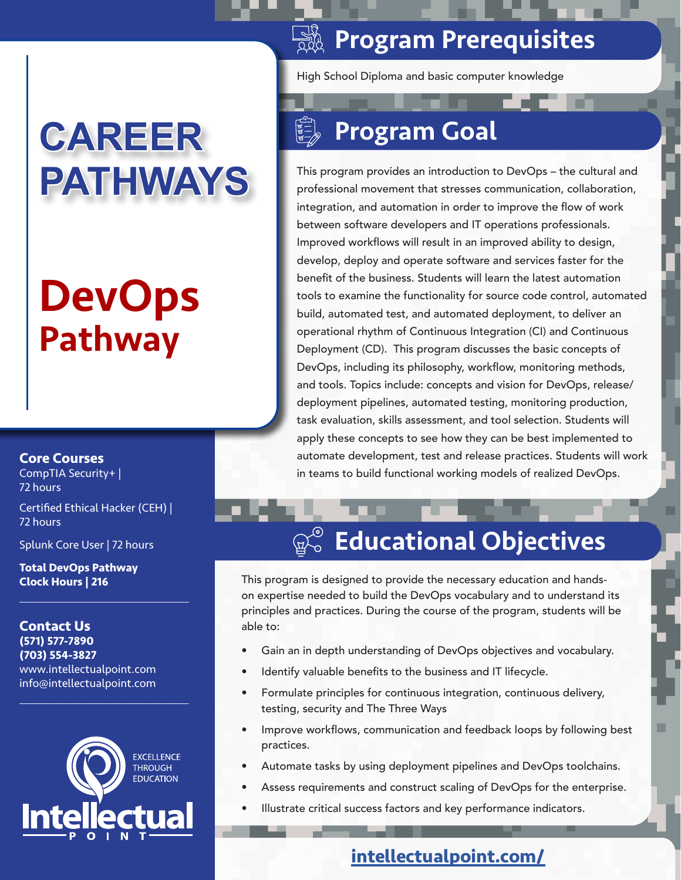# **CAREER PATHWAYS**

# DevOps Pathway

**Core Courses**

CompTIA Security+ | 72 hours

Certified Ethical Hacker (CEH) | 72 hours

 $\mathcal{L}_\mathcal{L}$  , where  $\mathcal{L}_\mathcal{L}$  is the set of the set of the set of the set of the set of the set of the set of the set of the set of the set of the set of the set of the set of the set of the set of the set of the

Splunk Core User | 72 hours

**Total DevOps Pathway Clock Hours | 216**

**Contact Us (571) 577-7890 (703) 554-3827** www.intellectualpoint.com info@intellectualpoint.com



 $\mathcal{L}_\mathcal{L}$  , where  $\mathcal{L}_\mathcal{L}$  is the set of the set of the set of the set of the set of the set of the set of the set of the set of the set of the set of the set of the set of the set of the set of the set of the

## **Some Preaduisites**

High School Diploma and basic computer knowledge

# Program Goal

This program provides an introduction to DevOps – the cultural and professional movement that stresses communication, collaboration, integration, and automation in order to improve the flow of work between software developers and IT operations professionals. Improved workflows will result in an improved ability to design, develop, deploy and operate software and services faster for the benefit of the business. Students will learn the latest automation tools to examine the functionality for source code control, automated build, automated test, and automated deployment, to deliver an operational rhythm of Continuous Integration (CI) and Continuous Deployment (CD). This program discusses the basic concepts of DevOps, including its philosophy, workflow, monitoring methods, and tools. Topics include: concepts and vision for DevOps, release/ deployment pipelines, automated testing, monitoring production, task evaluation, skills assessment, and tool selection. Students will apply these concepts to see how they can be best implemented to automate development, test and release practices. Students will work in teams to build functional working models of realized DevOps.

#### $\mathbb{R}^{\circ}_{\circ}$ Educational Objectives

This program is designed to provide the necessary education and handson expertise needed to build the DevOps vocabulary and to understand its principles and practices. During the course of the program, students will be able to:

- Gain an in depth understanding of DevOps objectives and vocabulary.
- Identify valuable benefits to the business and IT lifecycle.
- Formulate principles for continuous integration, continuous delivery, testing, security and The Three Ways
- Improve workflows, communication and feedback loops by following best practices.
- Automate tasks by using deployment pipelines and DevOps toolchains.
- Assess requirements and construct scaling of DevOps for the enterprise.
- Illustrate critical success factors and key performance indicators.

## **intellectualpoint.com/**